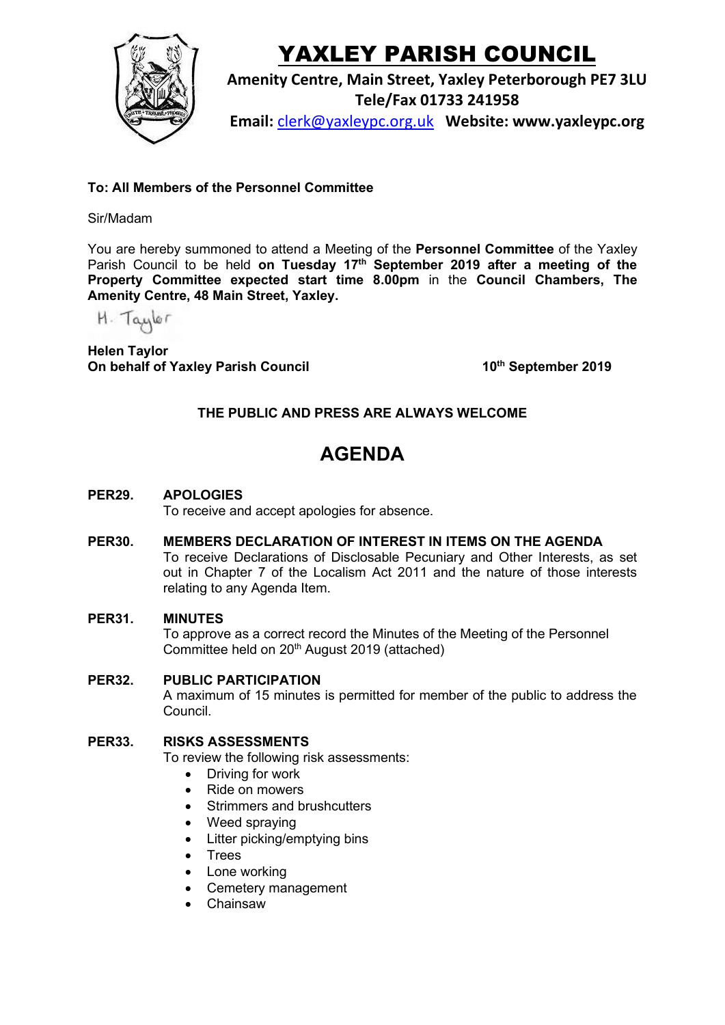

# YAXLEY PARISH COUNCIL

**Amenity Centre, Main Street, Yaxley Peterborough PE7 3LU Tele/Fax 01733 241958**

**Email:** [clerk@yaxleypc.org.uk](mailto:clerk@yaxleypc.org.uk) **Website: www.yaxleypc.org**

### **To: All Members of the Personnel Committee**

### Sir/Madam

You are hereby summoned to attend a Meeting of the **Personnel Committee** of the Yaxley Parish Council to be held **on Tuesday 17th September 2019 after a meeting of the Property Committee expected start time 8.00pm** in the **Council Chambers, The Amenity Centre, 48 Main Street, Yaxley.**

H. Taylor

**Helen Taylor On behalf of Yaxley Parish Council** 

**th September 2019**

### **THE PUBLIC AND PRESS ARE ALWAYS WELCOME**

## **AGENDA**

**PER29. APOLOGIES**

To receive and accept apologies for absence.

**PER30. MEMBERS DECLARATION OF INTEREST IN ITEMS ON THE AGENDA** To receive Declarations of Disclosable Pecuniary and Other Interests, as set out in Chapter 7 of the Localism Act 2011 and the nature of those interests relating to any Agenda Item.

#### **PER31. MINUTES**

To approve as a correct record the Minutes of the Meeting of the Personnel Committee held on 20th August 2019 (attached)

**PER32. PUBLIC PARTICIPATION** A maximum of 15 minutes is permitted for member of the public to address the Council.

#### **PER33. RISKS ASSESSMENTS**

To review the following risk assessments:

- Driving for work
- Ride on mowers
- Strimmers and brushcutters
- Weed spraying
- Litter picking/emptying bins
- Trees
- Lone working
- Cemetery management
- Chainsaw